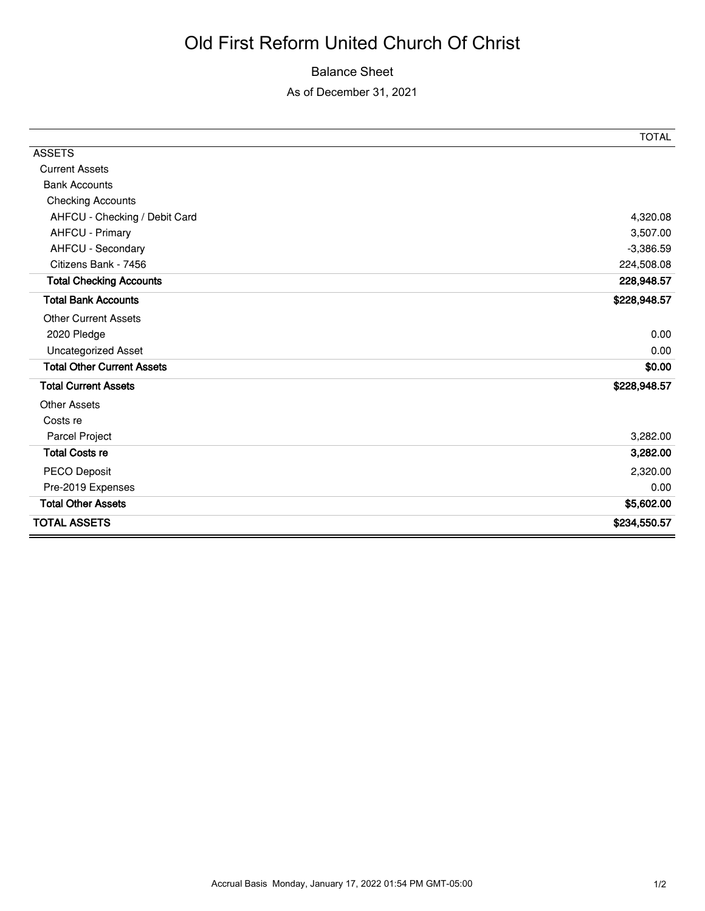## Old First Reform United Church Of Christ

## Balance Sheet

As of December 31, 2021

|                                   | <b>TOTAL</b> |
|-----------------------------------|--------------|
| <b>ASSETS</b>                     |              |
| <b>Current Assets</b>             |              |
| <b>Bank Accounts</b>              |              |
| <b>Checking Accounts</b>          |              |
| AHFCU - Checking / Debit Card     | 4,320.08     |
| AHFCU - Primary                   | 3,507.00     |
| AHFCU - Secondary                 | $-3,386.59$  |
| Citizens Bank - 7456              | 224,508.08   |
| <b>Total Checking Accounts</b>    | 228,948.57   |
| <b>Total Bank Accounts</b>        | \$228,948.57 |
| <b>Other Current Assets</b>       |              |
| 2020 Pledge                       | 0.00         |
| Uncategorized Asset               | 0.00         |
| <b>Total Other Current Assets</b> | \$0.00       |
| <b>Total Current Assets</b>       | \$228,948.57 |
| <b>Other Assets</b>               |              |
| Costs re                          |              |
| Parcel Project                    | 3,282.00     |
| <b>Total Costs re</b>             | 3,282.00     |
| PECO Deposit                      | 2,320.00     |
| Pre-2019 Expenses                 | 0.00         |
| <b>Total Other Assets</b>         | \$5,602.00   |
| <b>TOTAL ASSETS</b>               | \$234,550.57 |